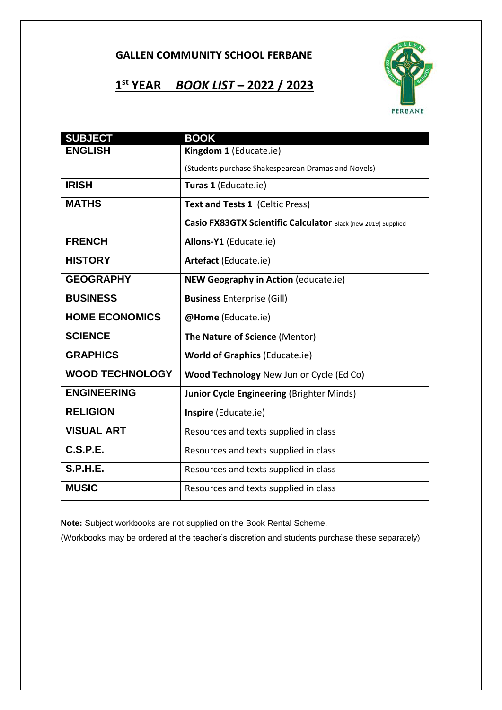## **1 st YEAR** *BOOK LIST* **– 2022 / 2023**



| <b>SUBJECT</b>         | <b>BOOK</b>                                                   |
|------------------------|---------------------------------------------------------------|
| <b>ENGLISH</b>         | Kingdom 1 (Educate.ie)                                        |
|                        | (Students purchase Shakespearean Dramas and Novels)           |
| <b>IRISH</b>           | Turas 1 (Educate.ie)                                          |
| <b>MATHS</b>           | Text and Tests 1 (Celtic Press)                               |
|                        | Casio FX83GTX Scientific Calculator Black (new 2019) Supplied |
| <b>FRENCH</b>          | Allons-Y1 (Educate.ie)                                        |
| <b>HISTORY</b>         | Artefact (Educate.ie)                                         |
| <b>GEOGRAPHY</b>       | <b>NEW Geography in Action (educate.ie)</b>                   |
| <b>BUSINESS</b>        | <b>Business Enterprise (Gill)</b>                             |
| <b>HOME ECONOMICS</b>  | @Home (Educate.ie)                                            |
| <b>SCIENCE</b>         | The Nature of Science (Mentor)                                |
| <b>GRAPHICS</b>        | <b>World of Graphics (Educate.ie)</b>                         |
| <b>WOOD TECHNOLOGY</b> | Wood Technology New Junior Cycle (Ed Co)                      |
| <b>ENGINEERING</b>     | <b>Junior Cycle Engineering (Brighter Minds)</b>              |
| <b>RELIGION</b>        | Inspire (Educate.ie)                                          |
| <b>VISUAL ART</b>      | Resources and texts supplied in class                         |
| <b>C.S.P.E.</b>        | Resources and texts supplied in class                         |
| <b>S.P.H.E.</b>        | Resources and texts supplied in class                         |
| <b>MUSIC</b>           | Resources and texts supplied in class                         |

**Note:** Subject workbooks are not supplied on the Book Rental Scheme.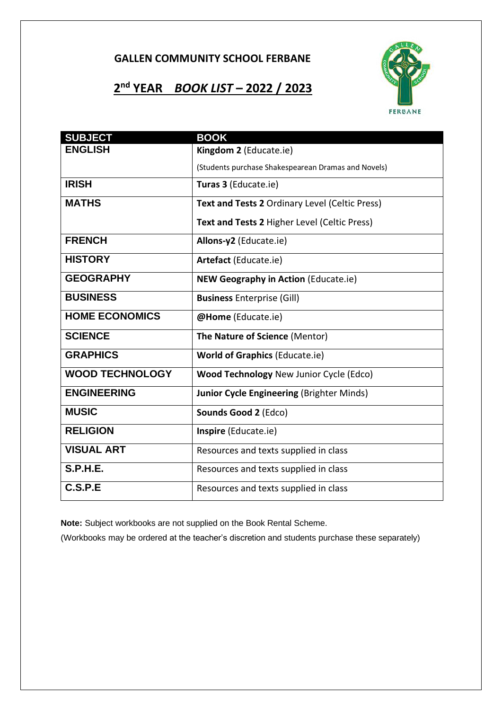# **2 nd YEAR** *BOOK LIST* **– 2022 / 2023**



| <b>SUBJECT</b>         | <b>BOOK</b>                                         |
|------------------------|-----------------------------------------------------|
| <b>ENGLISH</b>         | Kingdom 2 (Educate.ie)                              |
|                        | (Students purchase Shakespearean Dramas and Novels) |
| <b>IRISH</b>           | Turas 3 (Educate.ie)                                |
| <b>MATHS</b>           | Text and Tests 2 Ordinary Level (Celtic Press)      |
|                        | Text and Tests 2 Higher Level (Celtic Press)        |
| <b>FRENCH</b>          | Allons-y2 (Educate.ie)                              |
| <b>HISTORY</b>         | Artefact (Educate.ie)                               |
| <b>GEOGRAPHY</b>       | <b>NEW Geography in Action (Educate.ie)</b>         |
| <b>BUSINESS</b>        | <b>Business Enterprise (Gill)</b>                   |
| <b>HOME ECONOMICS</b>  | @Home (Educate.ie)                                  |
| <b>SCIENCE</b>         | The Nature of Science (Mentor)                      |
| <b>GRAPHICS</b>        | <b>World of Graphics (Educate.ie)</b>               |
| <b>WOOD TECHNOLOGY</b> | <b>Wood Technology New Junior Cycle (Edco)</b>      |
| <b>ENGINEERING</b>     | <b>Junior Cycle Engineering (Brighter Minds)</b>    |
| <b>MUSIC</b>           | Sounds Good 2 (Edco)                                |
| <b>RELIGION</b>        | Inspire (Educate.ie)                                |
| <b>VISUAL ART</b>      | Resources and texts supplied in class               |
| <b>S.P.H.E.</b>        | Resources and texts supplied in class               |
| C.S.P.E                | Resources and texts supplied in class               |

**Note:** Subject workbooks are not supplied on the Book Rental Scheme.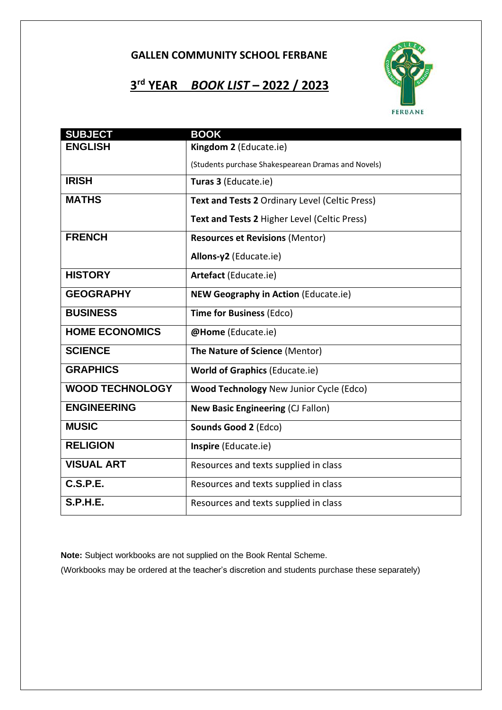## **3 rd YEAR** *BOOK LIST* **– 2022 / 2023**



| <b>SUBJECT</b>         | <b>BOOK</b>                                         |
|------------------------|-----------------------------------------------------|
| <b>ENGLISH</b>         | Kingdom 2 (Educate.ie)                              |
|                        | (Students purchase Shakespearean Dramas and Novels) |
| <b>IRISH</b>           | Turas 3 (Educate.ie)                                |
| <b>MATHS</b>           | Text and Tests 2 Ordinary Level (Celtic Press)      |
|                        | Text and Tests 2 Higher Level (Celtic Press)        |
| <b>FRENCH</b>          | <b>Resources et Revisions (Mentor)</b>              |
|                        | Allons-y2 (Educate.ie)                              |
| <b>HISTORY</b>         | Artefact (Educate.ie)                               |
| <b>GEOGRAPHY</b>       | <b>NEW Geography in Action (Educate.ie)</b>         |
| <b>BUSINESS</b>        | <b>Time for Business (Edco)</b>                     |
| <b>HOME ECONOMICS</b>  | @Home (Educate.ie)                                  |
| <b>SCIENCE</b>         | The Nature of Science (Mentor)                      |
| <b>GRAPHICS</b>        | <b>World of Graphics (Educate.ie)</b>               |
| <b>WOOD TECHNOLOGY</b> | <b>Wood Technology New Junior Cycle (Edco)</b>      |
| <b>ENGINEERING</b>     | <b>New Basic Engineering (CJ Fallon)</b>            |
| <b>MUSIC</b>           | Sounds Good 2 (Edco)                                |
| <b>RELIGION</b>        | Inspire (Educate.ie)                                |
| <b>VISUAL ART</b>      | Resources and texts supplied in class               |
| C.S.P.E.               | Resources and texts supplied in class               |
| <b>S.P.H.E.</b>        | Resources and texts supplied in class               |

**Note:** Subject workbooks are not supplied on the Book Rental Scheme.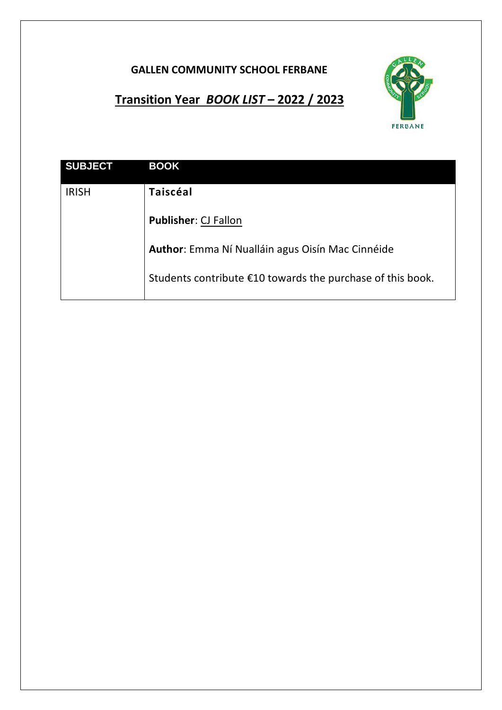

# **Transition Year** *BOOK LIST* **– 2022 / 2023**

| <b>SUBJECT</b> | <b>BOOK</b>                                                |
|----------------|------------------------------------------------------------|
| <b>IRISH</b>   | <b>Taiscéal</b>                                            |
|                | <b>Publisher: CJ Fallon</b>                                |
|                | Author: Emma Ní Nualláin agus Oisín Mac Cinnéide           |
|                | Students contribute €10 towards the purchase of this book. |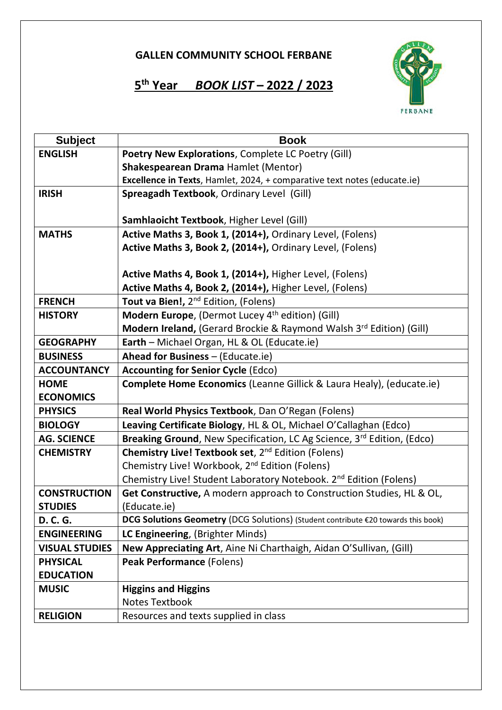## **5 th Year** *BOOK LIST* **– 2022 / 2023**



| <b>Subject</b>        | <b>Book</b>                                                                       |
|-----------------------|-----------------------------------------------------------------------------------|
| <b>ENGLISH</b>        | Poetry New Explorations, Complete LC Poetry (Gill)                                |
|                       | Shakespearean Drama Hamlet (Mentor)                                               |
|                       | Excellence in Texts, Hamlet, 2024, + comparative text notes (educate.ie)          |
| <b>IRISH</b>          | Spreagadh Textbook, Ordinary Level (Gill)                                         |
|                       |                                                                                   |
|                       | Samhlaoicht Textbook, Higher Level (Gill)                                         |
| <b>MATHS</b>          | Active Maths 3, Book 1, (2014+), Ordinary Level, (Folens)                         |
|                       | Active Maths 3, Book 2, (2014+), Ordinary Level, (Folens)                         |
|                       |                                                                                   |
|                       | Active Maths 4, Book 1, (2014+), Higher Level, (Folens)                           |
|                       | Active Maths 4, Book 2, (2014+), Higher Level, (Folens)                           |
| <b>FRENCH</b>         | Tout va Bien!, 2 <sup>nd</sup> Edition, (Folens)                                  |
| <b>HISTORY</b>        | Modern Europe, (Dermot Lucey 4 <sup>th</sup> edition) (Gill)                      |
|                       | Modern Ireland, (Gerard Brockie & Raymond Walsh 3rd Edition) (Gill)               |
| <b>GEOGRAPHY</b>      | Earth - Michael Organ, HL & OL (Educate.ie)                                       |
| <b>BUSINESS</b>       | Ahead for Business - (Educate.ie)                                                 |
| <b>ACCOUNTANCY</b>    | <b>Accounting for Senior Cycle (Edco)</b>                                         |
| <b>HOME</b>           | <b>Complete Home Economics (Leanne Gillick &amp; Laura Healy), (educate.ie)</b>   |
| <b>ECONOMICS</b>      |                                                                                   |
| <b>PHYSICS</b>        | Real World Physics Textbook, Dan O'Regan (Folens)                                 |
| <b>BIOLOGY</b>        | Leaving Certificate Biology, HL & OL, Michael O'Callaghan (Edco)                  |
| <b>AG. SCIENCE</b>    | Breaking Ground, New Specification, LC Ag Science, 3rd Edition, (Edco)            |
| <b>CHEMISTRY</b>      | Chemistry Live! Textbook set, 2 <sup>nd</sup> Edition (Folens)                    |
|                       | Chemistry Live! Workbook, 2 <sup>nd</sup> Edition (Folens)                        |
|                       | Chemistry Live! Student Laboratory Notebook. 2 <sup>nd</sup> Edition (Folens)     |
| <b>CONSTRUCTION</b>   | Get Constructive, A modern approach to Construction Studies, HL & OL,             |
| <b>STUDIES</b>        | (Educate.ie)                                                                      |
| D. C. G.              | DCG Solutions Geometry (DCG Solutions) (Student contribute €20 towards this book) |
| <b>ENGINEERING</b>    | LC Engineering, (Brighter Minds)                                                  |
| <b>VISUAL STUDIES</b> | New Appreciating Art, Aine Ni Charthaigh, Aidan O'Sullivan, (Gill)                |
| <b>PHYSICAL</b>       | Peak Performance (Folens)                                                         |
| <b>EDUCATION</b>      |                                                                                   |
| <b>MUSIC</b>          | <b>Higgins and Higgins</b>                                                        |
|                       | <b>Notes Textbook</b>                                                             |
| <b>RELIGION</b>       | Resources and texts supplied in class                                             |